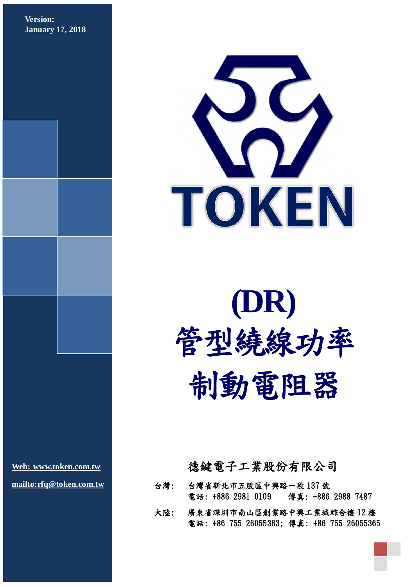**Version: January 17, 2018**



# **(DR)**  管型繞線功率 制動電阻器

**[Web: www.token.com.tw](http://www.token.com.tw/big5) [mailto:rfq@token.com.tw](mailto:rfq@token.com.tw?subject=Inquiry%20(ID-1828239):%20)**

## 德鍵電子工業股份有限公司

- 台灣: 台灣省新北市五股區中興路一段 137 號 電話: +886 2981 0109 傳真: +886 2988 7487
- 大陸: 廣東省深圳市南山區創業路中興工業城綜合樓 12 樓 電話: +86 755 26055363; 傳真: +86 755 26055365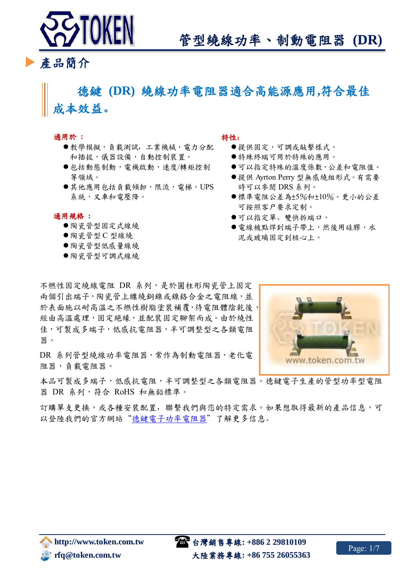

產品簡介

# 德鍵 **(DR)** 繞線功率電阻器適合高能源應用**,**符合最佳 成本效益。

#### 適用於 **:**

- 教學模擬,負載測試,工業機械,電力分配 和插拔,儀器設備,自動控制裝置。
- 包括動態制動,電機啟動,速度/轉矩控制 等領域。
- ●其他應用包括負載傾卸,限流,電梯,UPS 系統,叉車和電壓降。

通用規格 **:**

- 陶瓷管型固定式線繞
- 陶瓷管型 C 型線繞
- 陶瓷管型低感量線繞
- 陶瓷管型可調式線繞

#### 特性:

- 提供固定,可調或敲擊樣式。
- 特殊終端可用於特殊的應用。
- 可以指定特殊的溫度係數,公差和電阻值。
- ●提供 Ayrton Perry 型無感繞組形式。有需要 時可以參閱 DRS 系列。
- 標準電阻公差為±5%和±10%。更小的公差 可按照客户要求定制。
- 可以指定單、雙快拆端口。
- ●電線被點焊到端子帶上,然後用硅膠,水 泥或玻璃固定到核心上。

不燃性固定繞線電阻 DR 系列,是於圓柱形陶瓷管上固定 兩個引出端子,陶瓷管上纏繞銅鎳或鎳鉻合金之電阻線,並 於表面施以耐高溫之不燃性樹脂塗裝補覆, 待電阻體陰乾後, 經由高溫處理,固定絕緣,並配裝固定腳架而成。由於繞性 佳,可製成多端子,低感抗電阻器,半可調整型之各類電阻 器。

DR 系列管型繞線功率電阻器,常作為制動電阻器,老化電 阻器,負載電阻器。

本品可製成多端子,低感抗電阻,半可調整型之各類電阻器。德鍵電子生產的管型功率型電阻 器 DR 系列,符合 RoHS 和無鉛標準。

訂購單支更換,或各種安裝配置,聯繫我們與您的特定需求。如果想取得最新的產品信息,可 以登陸我們的官方網站["德鍵電子功率電阻器"](http://www.token.com.tw/big5/resistors-pd/index.html)了解更多信息。

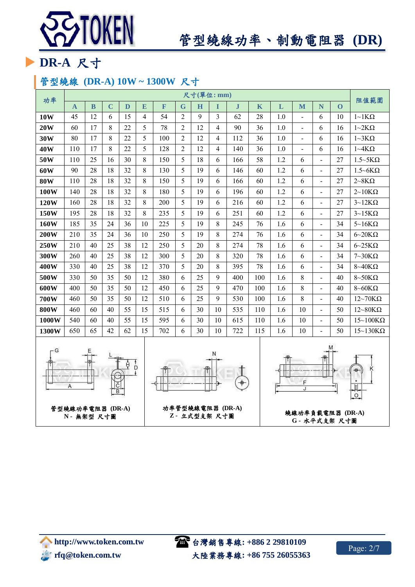

# 管型繞線功率、制動電阻器 **(DR)**

# ▶ DR-A 尺寸

## 管型繞線 **(DR-A) 10W ~ 1300W** 尺寸

| 功率                                                                              | 尺寸(單位:mm)    |             |             |    |                |     |                |    |                         |              |     |         | 阻值範圍                |                          |          |                              |
|---------------------------------------------------------------------------------|--------------|-------------|-------------|----|----------------|-----|----------------|----|-------------------------|--------------|-----|---------|---------------------|--------------------------|----------|------------------------------|
|                                                                                 | $\mathbf{A}$ | $\mathbf B$ | $\mathbf C$ | D  | E              | F   | $\mathbf G$    | H  | I                       | $\mathbf{J}$ | K   | L       | M                   | N                        | $\Omega$ |                              |
| 10W                                                                             | 45           | 12          | 6           | 15 | $\overline{4}$ | 54  | $\overline{2}$ | 9  | 3                       | 62           | 28  | 1.0     | $\overline{a}$      | 6                        | 10       | $1~\sim$ 1 K $\Omega$        |
| 20W                                                                             | 60           | 17          | 8           | 22 | 5              | 78  | $\overline{2}$ | 12 | 4                       | 90           | 36  | 1.0     | $\blacksquare$      | 6                        | 16       | $1 - 2K\Omega$               |
| 30W                                                                             | 80           | 17          | 8           | 22 | 5              | 100 | $\overline{2}$ | 12 | 4                       | 112          | 36  | 1.0     | $\bar{\phantom{a}}$ | 6                        | 16       | $1~3K\Omega$                 |
| 40W                                                                             | 110          | 17          | 8           | 22 | 5              | 128 | $\overline{2}$ | 12 | 4                       | 140          | 36  | $1.0\,$ | $\blacksquare$      | 6                        | 16       | $1 \sim 4K\Omega$            |
| 50W                                                                             | 110          | 25          | 16          | 30 | 8              | 150 | 5              | 18 | 6                       | 166          | 58  | 1.2     | 6                   | $\frac{1}{2}$            | 27       | $1.5 \sim 5K\Omega$          |
| 60W                                                                             | 90           | 28          | 18          | 32 | 8              | 130 | 5              | 19 | 6                       | 146          | 60  | 1.2     | 6                   | $\overline{\phantom{a}}$ | 27       | $1.5 \sim 6K\Omega$          |
| <b>80W</b>                                                                      | 110          | 28          | 18          | 32 | 8              | 150 | 5              | 19 | 6                       | 166          | 60  | 1.2     | 6                   | $\overline{\phantom{a}}$ | 27       | $2 \sim 8K\Omega$            |
| 100W                                                                            | 140          | 28          | 18          | 32 | 8              | 180 | 5              | 19 | 6                       | 196          | 60  | 1.2     | 6                   | $\mathbf{r}$             | 27       | $2 \sim 10 K\Omega$          |
| 120W                                                                            | 160          | 28          | 18          | 32 | 8              | 200 | 5              | 19 | 6                       | 216          | 60  | 1.2     | 6                   | $\blacksquare$           | 27       | $3~12K\Omega$                |
| 150W                                                                            | 195          | 28          | 18          | 32 | 8              | 235 | 5              | 19 | 6                       | 251          | 60  | 1.2     | 6                   | $\blacksquare$           | 27       | $3~15K\Omega$                |
| 160W                                                                            | 185          | 35          | 24          | 36 | 10             | 225 | 5              | 19 | 8                       | 245          | 76  | 1.6     | 6                   | $\blacksquare$           | 34       | $5~16K\Omega$                |
| <b>200W</b>                                                                     | 210          | 35          | 24          | 36 | 10             | 250 | 5              | 19 | 8                       | 274          | 76  | 1.6     | 6                   | $\blacksquare$           | 34       | $6 \sim 20 K\Omega$          |
| 250W                                                                            | 210          | 40          | 25          | 38 | 12             | 250 | 5              | 20 | 8                       | 274          | 78  | 1.6     | 6                   | $\blacksquare$           | 34       | $6 - 25K\Omega$              |
| 300W                                                                            | 260          | 40          | 25          | 38 | 12             | 300 | 5              | 20 | 8                       | 320          | 78  | 1.6     | 6                   | $\blacksquare$           | 34       | $7\text{~}30\text{K}\Omega$  |
| 400W                                                                            | 330          | 40          | 25          | 38 | 12             | 370 | 5              | 20 | 8                       | 395          | 78  | 1.6     | 6                   | $\blacksquare$           | 34       | $8 - 40K\Omega$              |
| 500W                                                                            | 330          | 50          | 35          | 50 | 12             | 380 | 6              | 25 | 9                       | 400          | 100 | 1.6     | 8                   | $\blacksquare$           | 40       | $8 - 50K\Omega$              |
| 600W                                                                            | 400          | 50          | 35          | 50 | 12             | 450 | 6              | 25 | 9                       | 470          | 100 | 1.6     | 8                   | $\blacksquare$           | 40       | $8 - 60K\Omega$              |
| 700W                                                                            | 460          | 50          | 35          | 50 | 12             | 510 | 6              | 25 | 9                       | 530          | 100 | 1.6     | 8                   | $\blacksquare$           | 40       | $12\text{~}70\text{K}\Omega$ |
| <b>800W</b>                                                                     | 460          | 60          | 40          | 55 | 15             | 515 | 6              | 30 | 10                      | 535          | 110 | 1.6     | 10                  | $\overline{\phantom{a}}$ | 50       | $12\text{-}80K\Omega$        |
| 1000W                                                                           | 540          | 60          | 40          | 55 | 15             | 595 | 6              | 30 | 10                      | 615          | 110 | 1.6     | 10                  | $\overline{\phantom{a}}$ | 50       | $15~100 K\Omega$             |
| 1300W                                                                           | 650          | 65          | 42          | 62 | 15             | 702 | 6              | 30 | 10                      | 722          | 115 | 1.6     | 10                  | $\blacksquare$           | 50       | $15~130 K\Omega$             |
| ٠G<br>Ν<br>$\overline{D}$<br>19<br>F<br>$\breve{c}$<br>A<br>J<br>$\overline{B}$ |              |             |             |    |                |     |                |    | Ħ<br>$\overline{\circ}$ |              |     |         |                     |                          |          |                              |

功率管型繞線電阻器 **(DR-A)** 

**Z -** 立式型支架 尺寸圖 繞線功率負載電阻器 **(DR-A) G -** 水平式支架 尺寸圖

管型繞線功率電阻器 **(DR-A) N -** 無架型 尺寸圖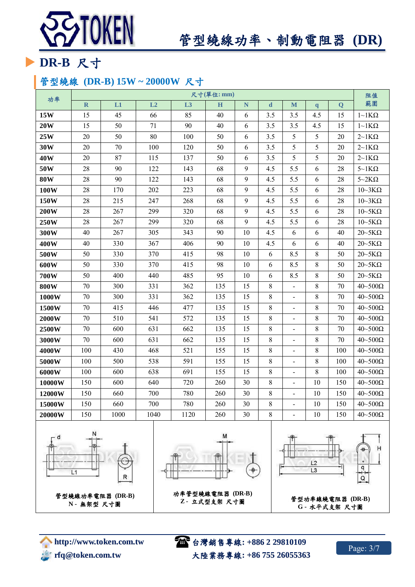

# 管型繞線功率、制動電阻器 **(DR)**

# **DR-B** 尺寸

## 管型繞線 **(DR-B) 15W ~ 20000W** 尺寸

| 功率          | 尺寸(單位:mm)   |      |      |                |     |    |             |                              |              |                         |                                                         |  |  |
|-------------|-------------|------|------|----------------|-----|----|-------------|------------------------------|--------------|-------------------------|---------------------------------------------------------|--|--|
|             | $\mathbf R$ | L1   | L2   | L <sub>3</sub> | H   | N  | $\mathbf d$ | M                            | $\mathbf{q}$ | $\overline{\mathbf{Q}}$ | 範圍                                                      |  |  |
| 15W         | 15          | 45   | 66   | 85             | 40  | 6  | 3.5         | 3.5                          | 4.5          | 15                      | $1\!\!\sim\!\!1K\Omega$                                 |  |  |
| <b>20W</b>  | 15          | 50   | 71   | 90             | 40  | 6  | 3.5         | 3.5                          | 4.5          | 15                      | $1\mathtt{-}1\mathbf{K}\Omega$                          |  |  |
| 25W         | 20          | 50   | 80   | 100            | 50  | 6  | 3.5         | 5                            | 5            | 20                      | $2\negthinspace\negthinspace\negthinspace 1K\Omega$     |  |  |
| 30W         | 20          | 70   | 100  | 120            | 50  | 6  | 3.5         | 5                            | 5            | 20                      | $2\negthinspace\negthinspace\negthinspace 1K\Omega$     |  |  |
| 40W         | 20          | 87   | 115  | 137            | 50  | 6  | 3.5         | 5                            | 5            | 20                      | $2\mathtt{\sim}1\mathrm{K}\Omega$                       |  |  |
| 50W         | 28          | 90   | 122  | 143            | 68  | 9  | 4.5         | 5.5                          | 6            | 28                      | $5\mathtt{\sim}1\mathrm{K}\Omega$                       |  |  |
| <b>80W</b>  | 28          | 90   | 122  | 143            | 68  | 9  | 4.5         | 5.5                          | 6            | 28                      | $5-2K\Omega$                                            |  |  |
| 100W        | 28          | 170  | 202  | 223            | 68  | 9  | 4.5         | 5.5                          | 6            | 28                      | $10-3K\Omega$                                           |  |  |
| 150W        | 28          | 215  | 247  | 268            | 68  | 9  | 4.5         | 5.5                          | 6            | 28                      | $10 - 3K\Omega$                                         |  |  |
| 200W        | 28          | 267  | 299  | 320            | 68  | 9  | 4.5         | 5.5                          | $\sqrt{6}$   | 28                      | $10\!\!\sim\!\!5\mathrm{K\Omega}$                       |  |  |
| 250W        | 28          | 267  | 299  | 320            | 68  | 9  | 4.5         | 5.5                          | 6            | 28                      |                                                         |  |  |
| 300W        | 40          | 267  | 305  | 343            | 90  | 10 | 4.5         | 6                            | $\sqrt{6}$   | 40                      | $20\negthinspace\negthinspace\negthinspace$ 5K $\Omega$ |  |  |
| 400W        | 40          | 330  | 367  | 406            | 90  | 10 | 4.5         | 6                            | 6            | 40                      | $20\negthinspace\negthinspace\negthinspace$ 5K $\Omega$ |  |  |
| 500W        | 50          | 330  | 370  | 415            | 98  | 10 | 6           | 8.5                          | 8            | 50                      | $20 - 5K\Omega$                                         |  |  |
| 600W        | 50          | 330  | 370  | 415            | 98  | 10 | 6           | 8.5                          | $8\,$        | 50                      | $20\negthinspace\negthinspace\negthinspace$ 5K $\Omega$ |  |  |
| 700W        | 50          | 400  | 440  | 485            | 95  | 10 | $\sqrt{6}$  | 8.5                          | $8\,$        | 50                      | $20 - 5K\Omega$                                         |  |  |
| <b>800W</b> | 70          | 300  | 331  | 362            | 135 | 15 | $\,8\,$     | $\blacksquare$               | $8\,$        | 70                      | $40 - 500\Omega$                                        |  |  |
| 1000W       | 70          | 300  | 331  | 362            | 135 | 15 | $8\,$       |                              | $8\,$        | 70                      | $40 - 500\Omega$                                        |  |  |
| 1500W       | $70\,$      | 415  | 446  | 477            | 135 | 15 | 8           | $\frac{1}{2}$                | $8\,$        | 70                      | $40 - 500\Omega$                                        |  |  |
| 2000W       | 70          | 510  | 541  | 572            | 135 | 15 | 8           | $\qquad \qquad \blacksquare$ | 8            | 70                      | $40 \sim 500 \Omega$                                    |  |  |
| 2500W       | 70          | 600  | 631  | 662            | 135 | 15 | $8\,$       | $\qquad \qquad \blacksquare$ | $8\,$        | 70                      | $40\negmedspace-\negmedspace500\Omega$                  |  |  |
| 3000W       | 70          | 600  | 631  | 662            | 135 | 15 | 8           | $\overline{a}$               | $8\,$        | 70                      | $40 - 500\Omega$                                        |  |  |
| 4000W       | 100         | 430  | 468  | 521            | 155 | 15 | 8           | $\overline{\phantom{0}}$     | $8\,$        | 100                     | $40 - 500\Omega$                                        |  |  |
| 5000W       | 100         | 500  | 538  | 591            | 155 | 15 | 8           | $\qquad \qquad \blacksquare$ | 8            | 100                     | $40\!\!\sim\!\!500\Omega$                               |  |  |
| 6000W       | 100         | 600  | 638  | 691            | 155 | 15 | $\,8\,$     | $\qquad \qquad \blacksquare$ | $8\,$        | 100                     | $40\negmedspace-\negmedspace500\Omega$                  |  |  |
| 10000W      | 150         | 600  | 640  | 720            | 260 | 30 | 8           | $\frac{1}{2}$                | 10           | 150                     | $40 - 500\Omega$                                        |  |  |
| 12000W      | 150         | 660  | 700  | 780            | 260 | 30 | 8           | $\overline{\phantom{a}}$     | 10           | 150                     | $40 - 500\Omega$                                        |  |  |
| 15000W      | 150         | 660  | 700  | 780            | 260 | 30 | $8\,$       | $\overline{\phantom{0}}$     | $10\,$       | 150                     | $40\negmedspace-\negmedspace500\Omega$                  |  |  |
| 20000W      | 150         | 1000 | 1040 | 1120           | 260 | 30 | 8           | $\qquad \qquad \blacksquare$ | 10           | 150                     | $40 - 500\Omega$                                        |  |  |





功率管型繞線電阻器 **(DR-B)** 



 **http://www.token.com.tw** *rigger* **rfq@token.com.tw** 

台灣銷售專線**: +886 2 29810109** 大陸業務專線**: +86 755 26055363**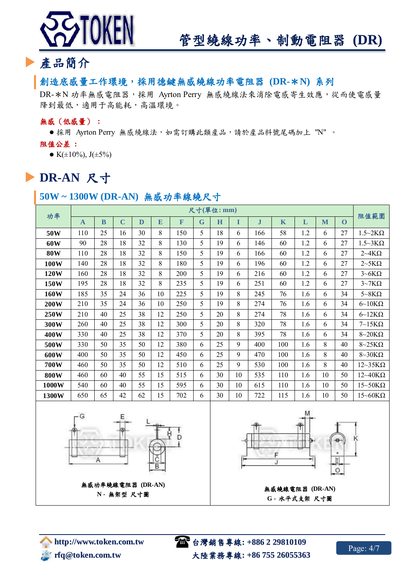

## 產品簡介

#### 創造底感量工作環境,採用德鍵無感繞線功率電阻器 **(DR-**\***N)** 系列

DR-\*N 功率無感電阻器,採用 Ayrton Perry 無感繞線法來消除電感寄生效應,從而使電感量 降到最低,適用于高能耗,高溫環境。

#### 無感(低感量) **:**

● 採用 Ayrton Perry 無感繞線法,如需訂購此類產品,請於產品料號尾碼加上 "N" 。

阻值公差 **:**

• K( $\pm 10\%$ ), J( $\pm 5\%$ )

## **DR-AN** 尺寸

#### **50W ~ 1300W (DR-AN)** 無感功率線繞尺寸

|             |              |          |             |    |    |     |   | 尺寸(單位:mm) |    |              |             |     |    |          | 阻值範圍                         |
|-------------|--------------|----------|-------------|----|----|-----|---|-----------|----|--------------|-------------|-----|----|----------|------------------------------|
| 功率          | $\mathbf{A}$ | $\bf{B}$ | $\mathbf C$ | D  | E  | F   | G | H         | I  | $\mathbf{J}$ | $\mathbf K$ | L   | M  | $\Omega$ |                              |
| 50W         | 110          | 25       | 16          | 30 | 8  | 150 | 5 | 18        | 6  | 166          | 58          | 1.2 | 6  | 27       | $1.5 \sim 2K\Omega$          |
| 60W         | 90           | 28       | 18          | 32 | 8  | 130 | 5 | 19        | 6  | 146          | 60          | 1.2 | 6  | 27       | $1.5 \sim 3K\Omega$          |
| <b>80W</b>  | 110          | 28       | 18          | 32 | 8  | 150 | 5 | 19        | 6  | 166          | 60          | 1.2 | 6  | 27       | $2\neg 4K\Omega$             |
| 100W        | 140          | 28       | 18          | 32 | 8  | 180 | 5 | 19        | 6  | 196          | 60          | 1.2 | 6  | 27       | $2\nabla$ 5K $\Omega$        |
| 120W        | 160          | 28       | 18          | 32 | 8  | 200 | 5 | 19        | 6  | 216          | 60          | 1.2 | 6  | 27       | $3\neg 6K\Omega$             |
| 150W        | 195          | 28       | 18          | 32 | 8  | 235 | 5 | 19        | 6  | 251          | 60          | 1.2 | 6  | 27       | $3~\text{-}7K\Omega$         |
| <b>160W</b> | 185          | 35       | 24          | 36 | 10 | 225 | 5 | 19        | 8  | 245          | 76          | 1.6 | 6  | 34       | $5 - 8K\Omega$               |
| <b>200W</b> | 210          | 35       | 24          | 36 | 10 | 250 | 5 | 19        | 8  | 274          | 76          | 1.6 | 6  | 34       | $6 \sim 10 K\Omega$          |
| 250W        | 210          | 40       | 25          | 38 | 12 | 250 | 5 | 20        | 8  | 274          | 78          | 1.6 | 6  | 34       | $6\text{-}12K\Omega$         |
| 300W        | 260          | 40       | 25          | 38 | 12 | 300 | 5 | 20        | 8  | 320          | 78          | 1.6 | 6  | 34       | $7~15K\Omega$                |
| 400W        | 330          | 40       | 25          | 38 | 12 | 370 | 5 | 20        | 8  | 395          | 78          | 1.6 | 6  | 34       | $8\text{-}20K\Omega$         |
| 500W        | 330          | 50       | 35          | 50 | 12 | 380 | 6 | 25        | 9  | 400          | 100         | 1.6 | 8  | 40       | $8\text{-}25K\Omega$         |
| 600W        | 400          | 50       | 35          | 50 | 12 | 450 | 6 | 25        | 9  | 470          | 100         | 1.6 | 8  | 40       | $8\sim30K\Omega$             |
| 700W        | 460          | 50       | 35          | 50 | 12 | 510 | 6 | 25        | 9  | 530          | 100         | 1.6 | 8  | 40       | $12\sim35K\Omega$            |
| <b>800W</b> | 460          | 60       | 40          | 55 | 15 | 515 | 6 | 30        | 10 | 535          | 110         | 1.6 | 10 | 50       | $12 \sim 40 K\Omega$         |
| 1000W       | 540          | 60       | 40          | 55 | 15 | 595 | 6 | 30        | 10 | 615          | 110         | 1.6 | 10 | 50       | $15~50K\Omega$               |
| 1300W       | 650          | 65       | 42          | 62 | 15 | 702 | 6 | 30        | 10 | 722          | 115         | 1.6 | 10 | 50       | $15\text{-}60\text{K}\Omega$ |



**N -** 無架型 尺寸圖



無感繞線電阻器 **(DR-AN) G -** 水平式支架 尺寸圖

台灣銷售專線**: +886 2 29810109** 大陸業務專線**: +86 755 26055363**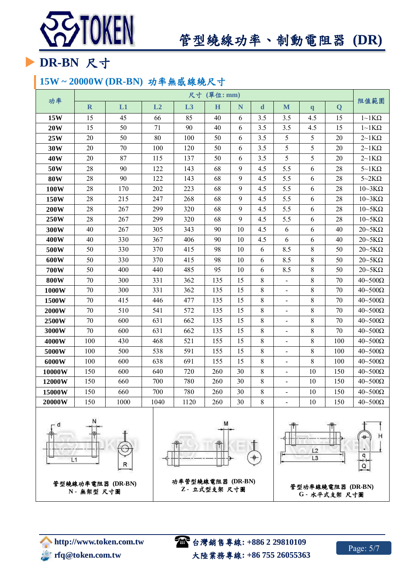

# 管型繞線功率、制動電阻器 **(DR)**

# **DR-BN** 尺寸

## **15W ~ 20000W (DR-BN)** 功率無感線繞尺寸

|             |             |      |      |      | 尺寸 (單位:mm) |    |             |                              |              |     | 阻值範圍                                                    |
|-------------|-------------|------|------|------|------------|----|-------------|------------------------------|--------------|-----|---------------------------------------------------------|
| 功率          | $\mathbf R$ | L1   | L2   | L3   | H          | N  | $\mathbf d$ | $\mathbf{M}$                 | $\mathbf{q}$ | Q   |                                                         |
| 15W         | 15          | 45   | 66   | 85   | 40         | 6  | 3.5         | 3.5                          | 4.5          | 15  | $1~\sim~1 K\Omega$                                      |
| 20W         | 15          | 50   | 71   | 90   | 40         | 6  | 3.5         | 3.5                          | 4.5          | 15  | $1~\sim~1 K\Omega$                                      |
| 25W         | 20          | 50   | 80   | 100  | 50         | 6  | 3.5         | 5                            | 5            | 20  | $2\nu$ 1 K $\Omega$                                     |
| 30W         | 20          | 70   | 100  | 120  | 50         | 6  | 3.5         | 5                            | 5            | 20  | $2{\sim}1K\Omega$                                       |
| 40W         | 20          | 87   | 115  | 137  | 50         | 6  | 3.5         | 5                            | 5            | 20  | $2\nu$ 1 K $\Omega$                                     |
| 50W         | 28          | 90   | 122  | 143  | 68         | 9  | 4.5         | 5.5                          | 6            | 28  | $5~\text{~}1K\Omega$                                    |
| <b>80W</b>  | 28          | 90   | 122  | 143  | 68         | 9  | 4.5         | 5.5                          | 6            | 28  | $5-2K\Omega$                                            |
| 100W        | 28          | 170  | 202  | 223  | 68         | 9  | 4.5         | 5.5                          | 6            | 28  | 10~3KΩ                                                  |
| 150W        | 28          | 215  | 247  | 268  | 68         | 9  | 4.5         | 5.5                          | 6            | 28  | $10-3K\Omega$                                           |
| <b>200W</b> | 28          | 267  | 299  | 320  | 68         | 9  | 4.5         | 5.5                          | 6            | 28  | $10\negthinspace\negthinspace\negthinspace$ 5K $\Omega$ |
| 250W        | 28          | 267  | 299  | 320  | 68         | 9  | 4.5         | 5.5                          | 6            | 28  | $10\negthinspace\negthinspace\negthinspace$ 5K $\Omega$ |
| 300W        | 40          | 267  | 305  | 343  | 90         | 10 | 4.5         | 6                            | 6            | 40  | $20 - 5K\Omega$                                         |
| 400W        | 40          | 330  | 367  | 406  | 90         | 10 | 4.5         | 6                            | 6            | 40  | $20\negthinspace\negthinspace\negthinspace$ $5K\Omega$  |
| 500W        | 50          | 330  | 370  | 415  | 98         | 10 | 6           | 8.5                          | 8            | 50  | $20\negthinspace\negthinspace\negthinspace$ 5K $\Omega$ |
| 600W        | 50          | 330  | 370  | 415  | 98         | 10 | 6           | 8.5                          | 8            | 50  | $20\negthinspace\negthinspace\negthinspace$ $5K\Omega$  |
| 700W        | 50          | 400  | 440  | 485  | 95         | 10 | 6           | 8.5                          | 8            | 50  | $20 - 5K\Omega$                                         |
| <b>800W</b> | 70          | 300  | 331  | 362  | 135        | 15 | 8           | $\frac{1}{2}$                | 8            | 70  | $40\negmedspace-\negmedspace500\Omega$                  |
| 1000W       | $70\,$      | 300  | 331  | 362  | 135        | 15 | 8           | $\overline{\phantom{a}}$     | 8            | 70  | $40 - 500\Omega$                                        |
| 1500W       | $70\,$      | 415  | 446  | 477  | 135        | 15 | $8\,$       | $\overline{a}$               | 8            | 70  | $40 \sim 500 \Omega$                                    |
| 2000W       | 70          | 510  | 541  | 572  | 135        | 15 | 8           | $\overline{\phantom{0}}$     | 8            | 70  | $40 - 500\Omega$                                        |
| 2500W       | 70          | 600  | 631  | 662  | 135        | 15 | 8           | $\overline{\phantom{0}}$     | 8            | 70  | $40\negmedspace-\negmedspace500\Omega$                  |
| 3000W       | 70          | 600  | 631  | 662  | 135        | 15 | 8           | $\overline{\phantom{0}}$     | 8            | 70  | $40 - 500\Omega$                                        |
| 4000W       | 100         | 430  | 468  | 521  | 155        | 15 | 8           | $\overline{a}$               | 8            | 100 | $40 - 500\Omega$                                        |
| 5000W       | 100         | 500  | 538  | 591  | 155        | 15 | 8           | $\qquad \qquad \blacksquare$ | 8            | 100 | $40 - 500\Omega$                                        |
| 6000W       | 100         | 600  | 638  | 691  | 155        | 15 | 8           | $\blacksquare$               | 8            | 100 | $40 - 500\Omega$                                        |
| 10000W      | 150         | 600  | 640  | 720  | 260        | 30 | 8           | $\overline{\phantom{a}}$     | 10           | 150 | $40 - 500\Omega$                                        |
| 12000W      | 150         | 660  | 700  | 780  | 260        | 30 | 8           | $\qquad \qquad \blacksquare$ | 10           | 150 | $40 - 500\Omega$                                        |
| 15000W      | 150         | 660  | 700  | 780  | 260        | 30 | 8           | $\frac{1}{2}$                | 10           | 150 | $40\text{--}500\Omega$                                  |
| 20000W      | 150         | 1000 | 1040 | 1120 | 260        | 30 | 8           |                              | 10           | 150 | $40\mathtt{\sim}500\Omega$                              |





功率管型繞線電阻器 **(DR-BN) Z -** 立式型支架 尺寸圖 管型功率線繞電阻器 **(DR-BN)** 



**G -** 水平式支架 尺寸圖

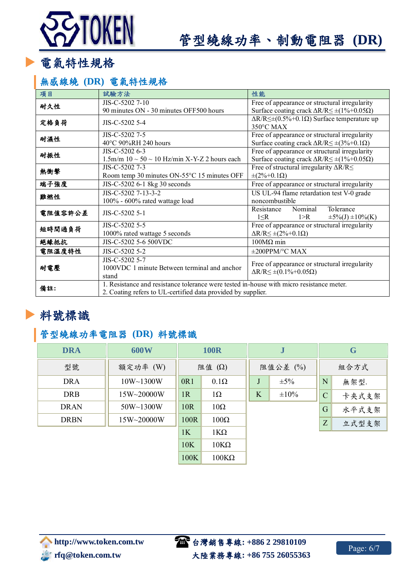# TOKEN

# 管型繞線功率、制動電阻器 **(DR)**

電氣特性規格

## 無感線繞 **(DR)** 電氣特性規格

| 試驗方法                                                                                     | 性能                                                                                                  |  |  |  |  |  |  |  |
|------------------------------------------------------------------------------------------|-----------------------------------------------------------------------------------------------------|--|--|--|--|--|--|--|
| JIS-C-5202 7-10                                                                          | Free of appearance or structural irregularity                                                       |  |  |  |  |  |  |  |
|                                                                                          | Surface coating crack $\Delta R/R \leq \pm (1\% + 0.05\Omega)$                                      |  |  |  |  |  |  |  |
|                                                                                          | $\Delta R/R \leq \pm (0.5\% + 0.1\Omega)$ Surface temperature up                                    |  |  |  |  |  |  |  |
|                                                                                          | 350°C MAX                                                                                           |  |  |  |  |  |  |  |
| JIS-C-5202 7-5                                                                           | Free of appearance or structural irregularity                                                       |  |  |  |  |  |  |  |
|                                                                                          | Surface coating crack $\Delta R/R \leq \pm (3\% + 0.1\Omega)$                                       |  |  |  |  |  |  |  |
| JIS-C-5202 6-3                                                                           | Free of appearance or structural irregularity                                                       |  |  |  |  |  |  |  |
| $1.5$ m/m $10 \sim 50 \sim 10$ Hz/min X-Y-Z 2 hours each                                 | Surface coating crack $\Delta R/R \leq \pm (1\% + 0.05\Omega)$                                      |  |  |  |  |  |  |  |
| JIS-C-5202 7-3                                                                           | Free of structural irregularity $\Delta R/R \leq$                                                   |  |  |  |  |  |  |  |
| Room temp 30 minutes ON-55°C 15 minutes OFF                                              | $\pm (2\% + 0.1 \Omega)$                                                                            |  |  |  |  |  |  |  |
| JIS-C-5202 6-1 8kg 30 seconds                                                            | Free of appearance or structural irregularity                                                       |  |  |  |  |  |  |  |
| JIS-C-5202 7-13-3-2                                                                      | US UL-94 flame retardation test V-0 grade                                                           |  |  |  |  |  |  |  |
| 100% - 600% rated wattage load                                                           | noncombustible                                                                                      |  |  |  |  |  |  |  |
|                                                                                          | Nominal<br>Tolerance<br>Resistance                                                                  |  |  |  |  |  |  |  |
|                                                                                          | 1 > R<br>$\pm 5\%$ (J) $\pm 10\%$ (K)<br>$1 \leq R$                                                 |  |  |  |  |  |  |  |
| JIS-C-5202 5-5                                                                           | Free of appearance or structural irregularity                                                       |  |  |  |  |  |  |  |
| 1000% rated wattage 5 seconds                                                            | $\Delta R/R \leq \pm (2\% + 0.1 \Omega)$                                                            |  |  |  |  |  |  |  |
| JIS-C-5202 5-6 500VDC                                                                    | $100M\Omega$ min                                                                                    |  |  |  |  |  |  |  |
| JIS-C-5202 5-2                                                                           | $\pm 200$ PPM/°C MAX                                                                                |  |  |  |  |  |  |  |
| JIS-C-5202 5-7                                                                           |                                                                                                     |  |  |  |  |  |  |  |
| 1000VDC 1 minute Between terminal and anchor                                             | Free of appearance or structural irregularity                                                       |  |  |  |  |  |  |  |
| stand                                                                                    | $\Delta R/R \leq \pm (0.1\% + 0.05\Omega)$                                                          |  |  |  |  |  |  |  |
| 1. Resistance and resistance tolerance were tested in-house with micro resistance meter. |                                                                                                     |  |  |  |  |  |  |  |
| 2. Coating refers to UL-certified data provided by supplier.                             |                                                                                                     |  |  |  |  |  |  |  |
|                                                                                          | 90 minutes ON - 30 minutes OFF500 hours<br>JIS-C-5202 5-4<br>40°C 90%RH 240 hours<br>JIS-C-5202 5-1 |  |  |  |  |  |  |  |

## 料號標識

Ш

## 管型繞線功率電阻器 **(DR)** 料號標識

| <b>DRA</b>  | 600W       |               | <b>100R</b>  |          | $\bf J$    | G             |       |  |
|-------------|------------|---------------|--------------|----------|------------|---------------|-------|--|
| 型號          | 額定功率 (W)   | 阻值 $(\Omega)$ |              | 阻值公差 (%) |            |               | 組合方式  |  |
| <b>DRA</b>  | 10W~1300W  | 0R1           | $0.1\Omega$  |          | $\pm 5\%$  | N             | 無架型.  |  |
| <b>DRB</b>  | 15W~20000W | 1R            | $1\Omega$    | K        | $\pm 10\%$ | $\mathcal{C}$ | 卡夹式支架 |  |
| <b>DRAN</b> | 50W~1300W  | 10R           | $10\Omega$   |          |            | G             | 水平式支架 |  |
| <b>DRBN</b> | 15W~20000W | 100R          | $100\Omega$  |          |            | Z             | 立式型支架 |  |
|             |            | 1K            | $1K\Omega$   |          |            |               |       |  |
|             |            | 10K           | $10K\Omega$  |          |            |               |       |  |
|             |            | 100K          | $100K\Omega$ |          |            |               |       |  |